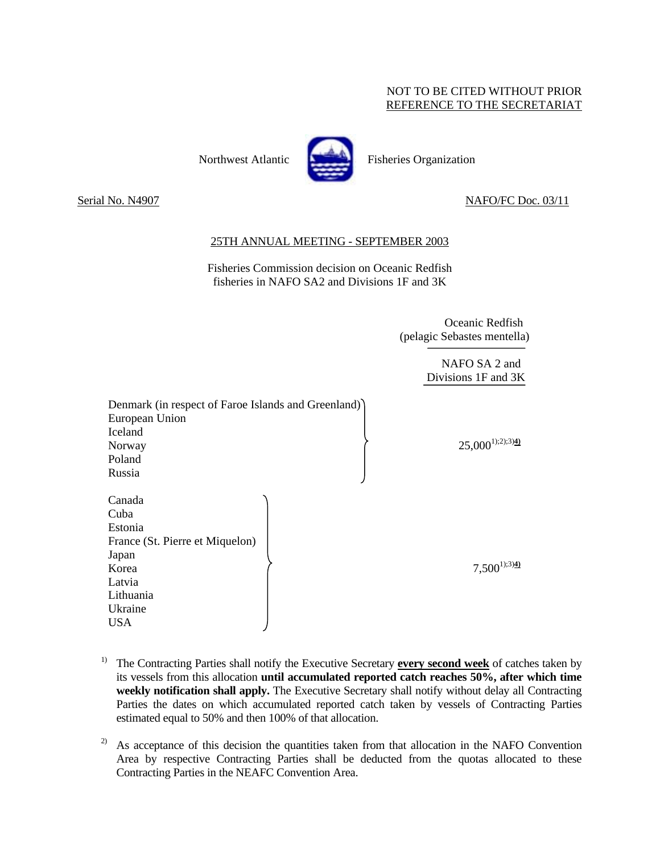## NOT TO BE CITED WITHOUT PRIOR REFERENCE TO THE SECRETARIAT

Northwest Atlantic **Fisheries** Pisheries Organization



Serial No. N4907 NAFO/FC Doc. 03/11

## 25TH ANNUAL MEETING - SEPTEMBER 2003

Fisheries Commission decision on Oceanic Redfish fisheries in NAFO SA2 and Divisions 1F and 3K

> Oceanic Redfish (pelagic Sebastes mentella)

> > NAFO SA 2 and Divisions 1F and 3K

| Denmark (in respect of Faroe Islands and Greenland)<br>European Union<br><b>Iceland</b> |  |                     |
|-----------------------------------------------------------------------------------------|--|---------------------|
| Norway                                                                                  |  | $25,000^{1};2;3)40$ |
| Poland                                                                                  |  |                     |
| Russia                                                                                  |  |                     |
| Canada<br>Cuba<br>Estonia                                                               |  |                     |
| France (St. Pierre et Miquelon)                                                         |  |                     |
| Japan                                                                                   |  |                     |
| Korea                                                                                   |  | $7,500^{1};^{3})$   |
| Latvia                                                                                  |  |                     |
| Lithuania                                                                               |  |                     |
| Ukraine                                                                                 |  |                     |
| <b>USA</b>                                                                              |  |                     |

- 1) The Contracting Parties shall notify the Executive Secretary **every second week** of catches taken by its vessels from this allocation **until accumulated reported catch reaches 50%, after which time weekly notification shall apply.** The Executive Secretary shall notify without delay all Contracting Parties the dates on which accumulated reported catch taken by vessels of Contracting Parties estimated equal to 50% and then 100% of that allocation.
- $2)$  As acceptance of this decision the quantities taken from that allocation in the NAFO Convention Area by respective Contracting Parties shall be deducted from the quotas allocated to these Contracting Parties in the NEAFC Convention Area.